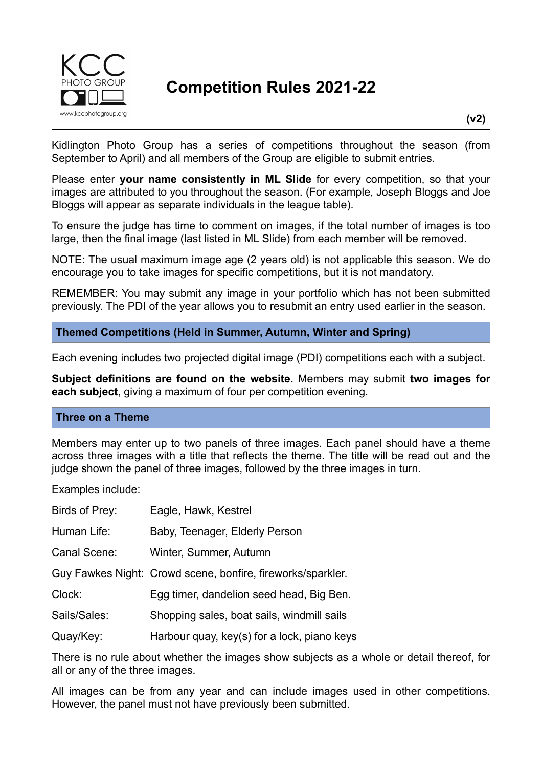

**Competition Rules 2021-22**

Kidlington Photo Group has a series of competitions throughout the season (from September to April) and all members of the Group are eligible to submit entries.

Please enter **your name consistently in ML Slide** for every competition, so that your images are attributed to you throughout the season. (For example, Joseph Bloggs and Joe Bloggs will appear as separate individuals in the league table).

To ensure the judge has time to comment on images, if the total number of images is too large, then the final image (last listed in ML Slide) from each member will be removed.

NOTE: The usual maximum image age (2 years old) is not applicable this season. We do encourage you to take images for specific competitions, but it is not mandatory.

REMEMBER: You may submit any image in your portfolio which has not been submitted previously. The PDI of the year allows you to resubmit an entry used earlier in the season.

**Themed Competitions (Held in Summer, Autumn, Winter and Spring)**

Each evening includes two projected digital image (PDI) competitions each with a subject.

**Subject definitions are found on the website.** Members may submit **two images for each subject**, giving a maximum of four per competition evening.

## **Three on a Theme**

Members may enter up to two panels of three images. Each panel should have a theme across three images with a title that reflects the theme. The title will be read out and the judge shown the panel of three images, followed by the three images in turn.

Examples include:

| Birds of Prey: | Eagle, Hawk, Kestrel                                        |
|----------------|-------------------------------------------------------------|
| Human Life:    | Baby, Teenager, Elderly Person                              |
| Canal Scene:   | Winter, Summer, Autumn                                      |
|                | Guy Fawkes Night: Crowd scene, bonfire, fireworks/sparkler. |
| Clock:         | Egg timer, dandelion seed head, Big Ben.                    |
| Sails/Sales:   | Shopping sales, boat sails, windmill sails                  |
| Quay/Key:      | Harbour quay, key(s) for a lock, piano keys                 |

There is no rule about whether the images show subjects as a whole or detail thereof, for all or any of the three images.

All images can be from any year and can include images used in other competitions. However, the panel must not have previously been submitted.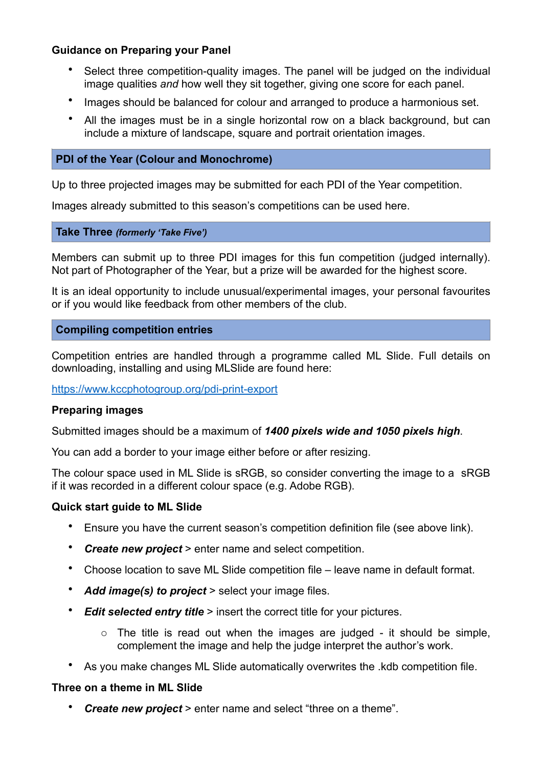# **Guidance on Preparing your Panel**

- Select three competition-quality images. The panel will be judged on the individual image qualities *and* how well they sit together, giving one score for each panel.
- Images should be balanced for colour and arranged to produce a harmonious set.
- All the images must be in a single horizontal row on a black background, but can include a mixture of landscape, square and portrait orientation images.

## **PDI of the Year (Colour and Monochrome)**

Up to three projected images may be submitted for each PDI of the Year competition.

Images already submitted to this season's competitions can be used here.

### **Take Three** *(formerly 'Take Five')*

Members can submit up to three PDI images for this fun competition (judged internally). Not part of Photographer of the Year, but a prize will be awarded for the highest score.

It is an ideal opportunity to include unusual/experimental images, your personal favourites or if you would like feedback from other members of the club.

## **Compiling competition entries**

Competition entries are handled through a programme called ML Slide. Full details on downloading, installing and using MLSlide are found here:

### <https://www.kccphotogroup.org/pdi-print-export>

## **Preparing images**

Submitted images should be a maximum of *1400 pixels wide and 1050 pixels high*.

You can add a border to your image either before or after resizing.

The colour space used in ML Slide is sRGB, so consider converting the image to a sRGB if it was recorded in a different colour space (e.g. Adobe RGB).

#### **Quick start guide to ML Slide**

- Ensure you have the current season's competition definition file (see above link).
- *Create new project* > enter name and select competition.
- Choose location to save ML Slide competition file leave name in default format.
- *Add image(s) to project* > select your image files.
- *Edit selected entry title* > insert the correct title for your pictures.
	- $\circ$  The title is read out when the images are judged it should be simple, complement the image and help the judge interpret the author's work.
- As you make changes ML Slide automatically overwrites the .kdb competition file.

#### **Three on a theme in ML Slide**

• *Create new project* > enter name and select "three on a theme".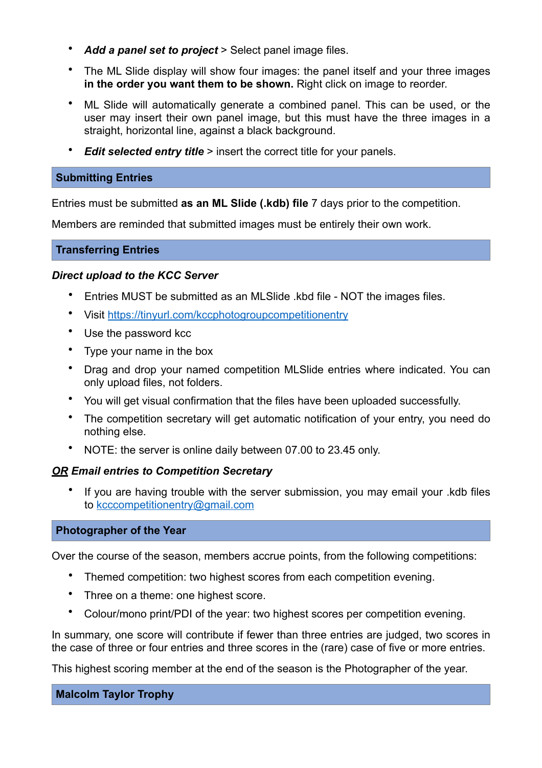- *Add a panel set to project* > Select panel image files.
- The ML Slide display will show four images: the panel itself and your three images **in the order you want them to be shown.** Right click on image to reorder.
- ML Slide will automatically generate a combined panel. This can be used, or the user may insert their own panel image, but this must have the three images in a straight, horizontal line, against a black background.
- *Edit selected entry title* > insert the correct title for your panels.

## **Submitting Entries**

Entries must be submitted **as an ML Slide (.kdb) file** 7 days prior to the competition.

Members are reminded that submitted images must be entirely their own work.

## **Transferring Entries**

## *Direct upload to the KCC Server*

- Entries MUST be submitted as an MLSlide .kbd file NOT the images files.
- Visit<https://tinyurl.com/kccphotogroupcompetitionentry>
- Use the password kcc
- Type your name in the box
- Drag and drop your named competition MLSlide entries where indicated. You can only upload files, not folders.
- You will get visual confirmation that the files have been uploaded successfully.
- The competition secretary will get automatic notification of your entry, you need do nothing else.
- NOTE: the server is online daily between 07.00 to 23.45 only.

# *OR Email entries to Competition Secretary*

If you are having trouble with the server submission, you may email your .kdb files to [kcccompetitionentry@gmail.com](mailto:kcccompetitionentry@gmail.com) 

## **Photographer of the Year**

Over the course of the season, members accrue points, from the following competitions:

- Themed competition: two highest scores from each competition evening.
- Three on a theme: one highest score.
- Colour/mono print/PDI of the year: two highest scores per competition evening.

In summary, one score will contribute if fewer than three entries are judged, two scores in the case of three or four entries and three scores in the (rare) case of five or more entries.

This highest scoring member at the end of the season is the Photographer of the year.

## **Malcolm Taylor Trophy**